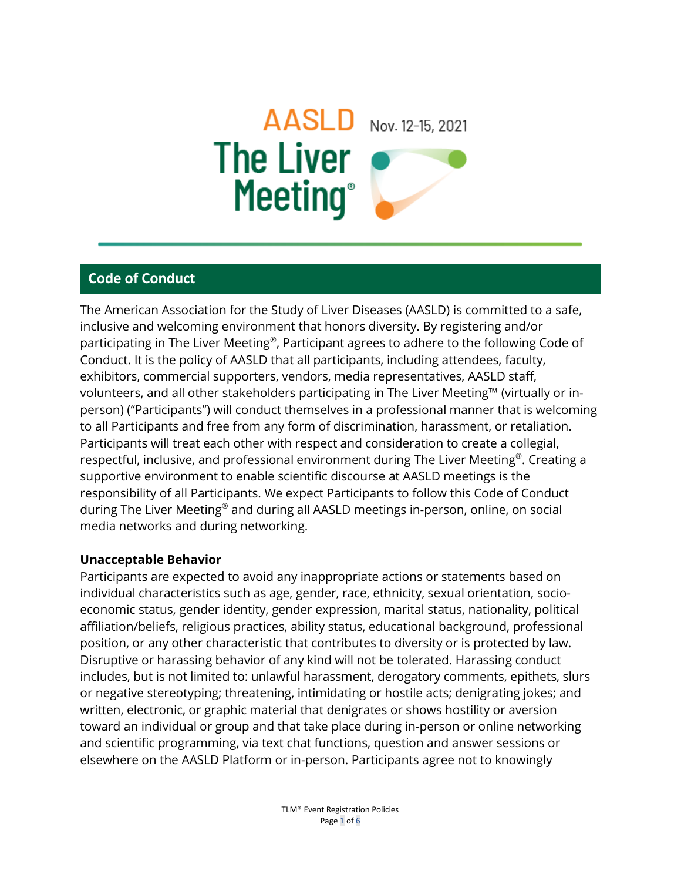# AASLD Nov. 12-15, 2021 The Liver Meeting®

# **Code of Conduct**

The American Association for the Study of Liver Diseases (AASLD) is committed to a safe, inclusive and welcoming environment that honors diversity. By registering and/or participating in The Liver Meeting®, Participant agrees to adhere to the following Code of Conduct. It is the policy of AASLD that all participants, including attendees, faculty, exhibitors, commercial supporters, vendors, media representatives, AASLD staff, volunteers, and all other stakeholders participating in The Liver Meeting™ (virtually or inperson) ("Participants") will conduct themselves in a professional manner that is welcoming to all Participants and free from any form of discrimination, harassment, or retaliation. Participants will treat each other with respect and consideration to create a collegial, respectful, inclusive, and professional environment during The Liver Meeting®. Creating a supportive environment to enable scientific discourse at AASLD meetings is the responsibility of all Participants. We expect Participants to follow this Code of Conduct during The Liver Meeting® and during all AASLD meetings in-person, online, on social media networks and during networking.

#### **Unacceptable Behavior**

Participants are expected to avoid any inappropriate actions or statements based on individual characteristics such as age, gender, race, ethnicity, sexual orientation, socioeconomic status, gender identity, gender expression, marital status, nationality, political affiliation/beliefs, religious practices, ability status, educational background, professional position, or any other characteristic that contributes to diversity or is protected by law. Disruptive or harassing behavior of any kind will not be tolerated. Harassing conduct includes, but is not limited to: unlawful harassment, derogatory comments, epithets, slurs or negative stereotyping; threatening, intimidating or hostile acts; denigrating jokes; and written, electronic, or graphic material that denigrates or shows hostility or aversion toward an individual or group and that take place during in-person or online networking and scientific programming, via text chat functions, question and answer sessions or elsewhere on the AASLD Platform or in-person. Participants agree not to knowingly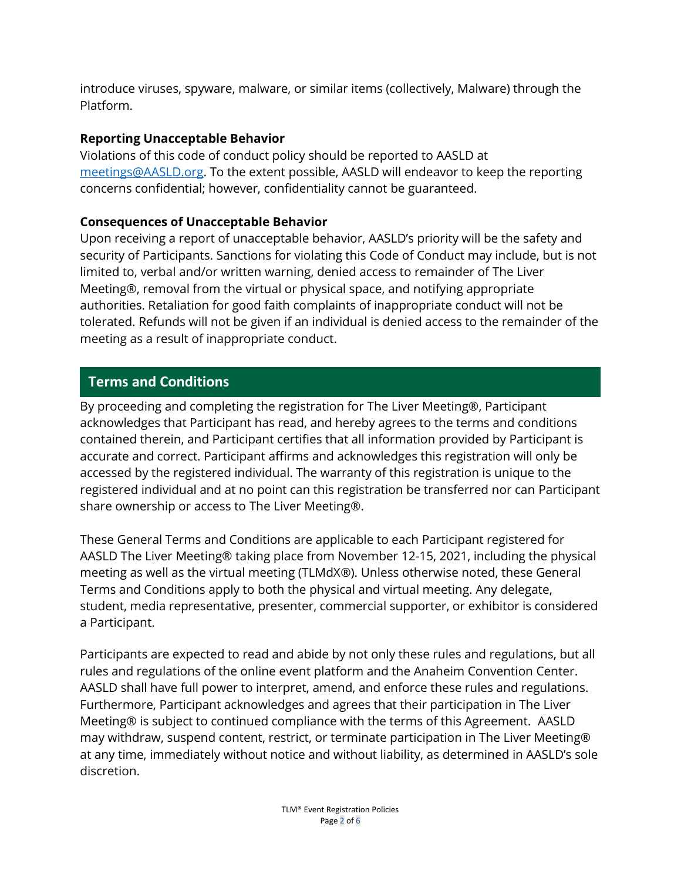introduce viruses, spyware, malware, or similar items (collectively, Malware) through the Platform.

## **Reporting Unacceptable Behavior**

Violations of this code of conduct policy should be reported to AASLD at [meetings@AASLD.org.](mailto:meetings@AASLD.org) To the extent possible, AASLD will endeavor to keep the reporting concerns confidential; however, confidentiality cannot be guaranteed.

## **Consequences of Unacceptable Behavior**

Upon receiving a report of unacceptable behavior, AASLD's priority will be the safety and security of Participants. Sanctions for violating this Code of Conduct may include, but is not limited to, verbal and/or written warning, denied access to remainder of The Liver Meeting®, removal from the virtual or physical space, and notifying appropriate authorities. Retaliation for good faith complaints of inappropriate conduct will not be tolerated. Refunds will not be given if an individual is denied access to the remainder of the meeting as a result of inappropriate conduct.

# **Terms and Conditions**

By proceeding and completing the registration for The Liver Meeting®, Participant acknowledges that Participant has read, and hereby agrees to the terms and conditions contained therein, and Participant certifies that all information provided by Participant is accurate and correct. Participant affirms and acknowledges this registration will only be accessed by the registered individual. The warranty of this registration is unique to the registered individual and at no point can this registration be transferred nor can Participant share ownership or access to The Liver Meeting®.

These General Terms and Conditions are applicable to each Participant registered for AASLD The Liver Meeting® taking place from November 12-15, 2021, including the physical meeting as well as the virtual meeting (TLMdX®). Unless otherwise noted, these General Terms and Conditions apply to both the physical and virtual meeting. Any delegate, student, media representative, presenter, commercial supporter, or exhibitor is considered a Participant.

Participants are expected to read and abide by not only these rules and regulations, but all rules and regulations of the online event platform and the Anaheim Convention Center. AASLD shall have full power to interpret, amend, and enforce these rules and regulations. Furthermore, Participant acknowledges and agrees that their participation in The Liver Meeting® is subject to continued compliance with the terms of this Agreement. AASLD may withdraw, suspend content, restrict, or terminate participation in The Liver Meeting® at any time, immediately without notice and without liability, as determined in AASLD's sole discretion.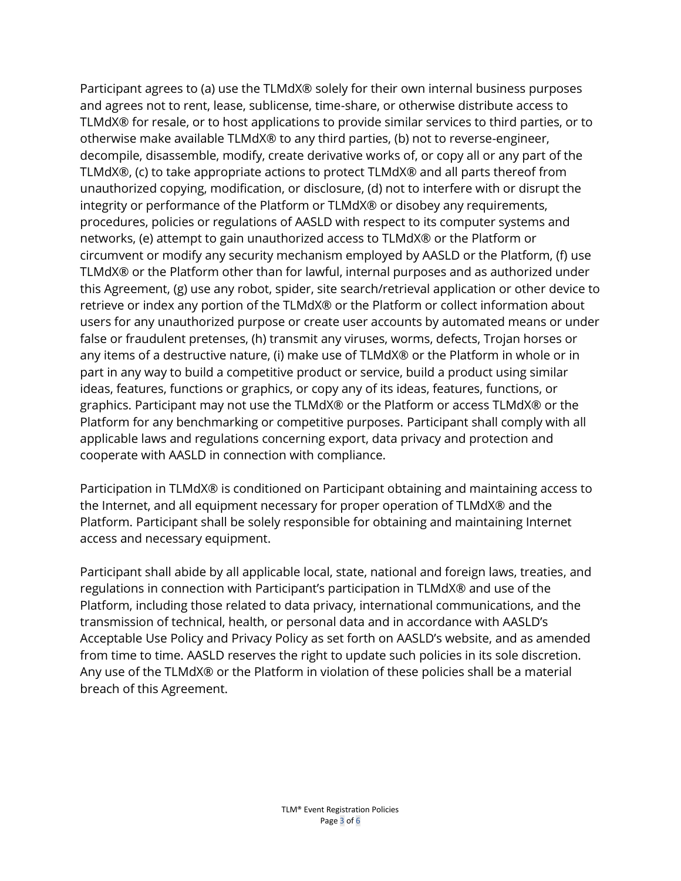Participant agrees to (a) use the TLMdX® solely for their own internal business purposes and agrees not to rent, lease, sublicense, time-share, or otherwise distribute access to TLMdX® for resale, or to host applications to provide similar services to third parties, or to otherwise make available TLMdX® to any third parties, (b) not to reverse-engineer, decompile, disassemble, modify, create derivative works of, or copy all or any part of the TLMdX®, (c) to take appropriate actions to protect TLMdX® and all parts thereof from unauthorized copying, modification, or disclosure, (d) not to interfere with or disrupt the integrity or performance of the Platform or TLMdX® or disobey any requirements, procedures, policies or regulations of AASLD with respect to its computer systems and networks, (e) attempt to gain unauthorized access to TLMdX® or the Platform or circumvent or modify any security mechanism employed by AASLD or the Platform, (f) use TLMdX® or the Platform other than for lawful, internal purposes and as authorized under this Agreement, (g) use any robot, spider, site search/retrieval application or other device to retrieve or index any portion of the TLMdX® or the Platform or collect information about users for any unauthorized purpose or create user accounts by automated means or under false or fraudulent pretenses, (h) transmit any viruses, worms, defects, Trojan horses or any items of a destructive nature, (i) make use of TLMdX® or the Platform in whole or in part in any way to build a competitive product or service, build a product using similar ideas, features, functions or graphics, or copy any of its ideas, features, functions, or graphics. Participant may not use the TLMdX® or the Platform or access TLMdX® or the Platform for any benchmarking or competitive purposes. Participant shall comply with all applicable laws and regulations concerning export, data privacy and protection and cooperate with AASLD in connection with compliance.

Participation in TLMdX® is conditioned on Participant obtaining and maintaining access to the Internet, and all equipment necessary for proper operation of TLMdX® and the Platform. Participant shall be solely responsible for obtaining and maintaining Internet access and necessary equipment.

Participant shall abide by all applicable local, state, national and foreign laws, treaties, and regulations in connection with Participant's participation in TLMdX® and use of the Platform, including those related to data privacy, international communications, and the transmission of technical, health, or personal data and in accordance with AASLD's Acceptable Use Policy and Privacy Policy as set forth on AASLD's website, and as amended from time to time. AASLD reserves the right to update such policies in its sole discretion. Any use of the TLMdX® or the Platform in violation of these policies shall be a material breach of this Agreement.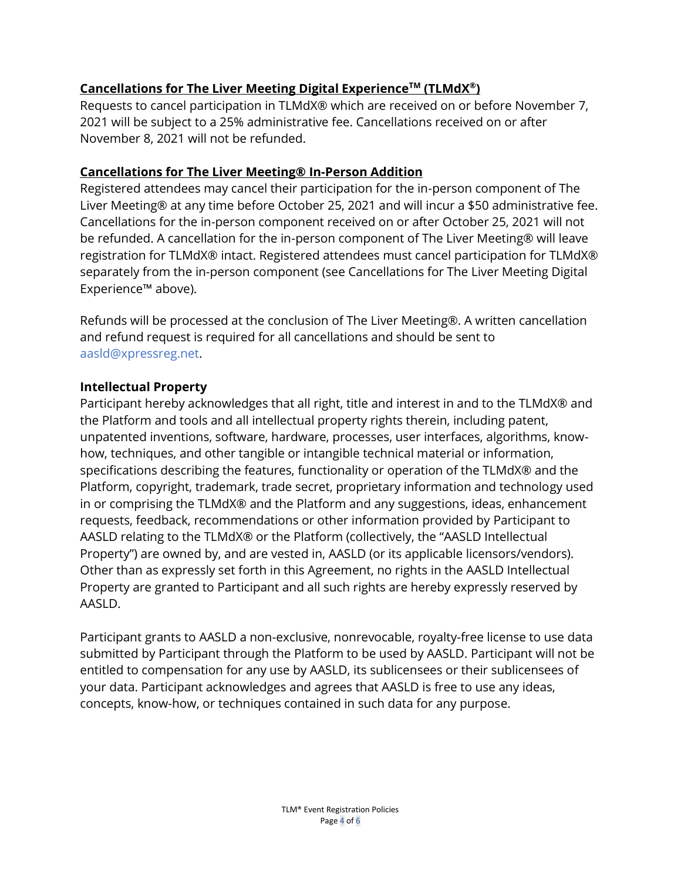# **Cancellations for The Liver Meeting Digital ExperienceTM (TLMdX® )**

Requests to cancel participation in TLMdX® which are received on or before November 7, 2021 will be subject to a 25% administrative fee. Cancellations received on or after November 8, 2021 will not be refunded.

## **Cancellations for The Liver Meeting® In-Person Addition**

Registered attendees may cancel their participation for the in-person component of The Liver Meeting® at any time before October 25, 2021 and will incur a \$50 administrative fee. Cancellations for the in-person component received on or after October 25, 2021 will not be refunded. A cancellation for the in-person component of The Liver Meeting® will leave registration for TLMdX® intact. Registered attendees must cancel participation for TLMdX® separately from the in-person component (see Cancellations for The Liver Meeting Digital Experience™ above).

Refunds will be processed at the conclusion of The Liver Meeting®. A written cancellation and refund request is required for all cancellations and should be sent to [aasld@xpressreg.net.](mailto:aasld@xpressreg.net)

#### **Intellectual Property**

Participant hereby acknowledges that all right, title and interest in and to the TLMdX® and the Platform and tools and all intellectual property rights therein, including patent, unpatented inventions, software, hardware, processes, user interfaces, algorithms, knowhow, techniques, and other tangible or intangible technical material or information, specifications describing the features, functionality or operation of the TLMdX® and the Platform, copyright, trademark, trade secret, proprietary information and technology used in or comprising the TLMdX® and the Platform and any suggestions, ideas, enhancement requests, feedback, recommendations or other information provided by Participant to AASLD relating to the TLMdX® or the Platform (collectively, the "AASLD Intellectual Property") are owned by, and are vested in, AASLD (or its applicable licensors/vendors). Other than as expressly set forth in this Agreement, no rights in the AASLD Intellectual Property are granted to Participant and all such rights are hereby expressly reserved by AASLD.

Participant grants to AASLD a non-exclusive, nonrevocable, royalty-free license to use data submitted by Participant through the Platform to be used by AASLD. Participant will not be entitled to compensation for any use by AASLD, its sublicensees or their sublicensees of your data. Participant acknowledges and agrees that AASLD is free to use any ideas, concepts, know-how, or techniques contained in such data for any purpose.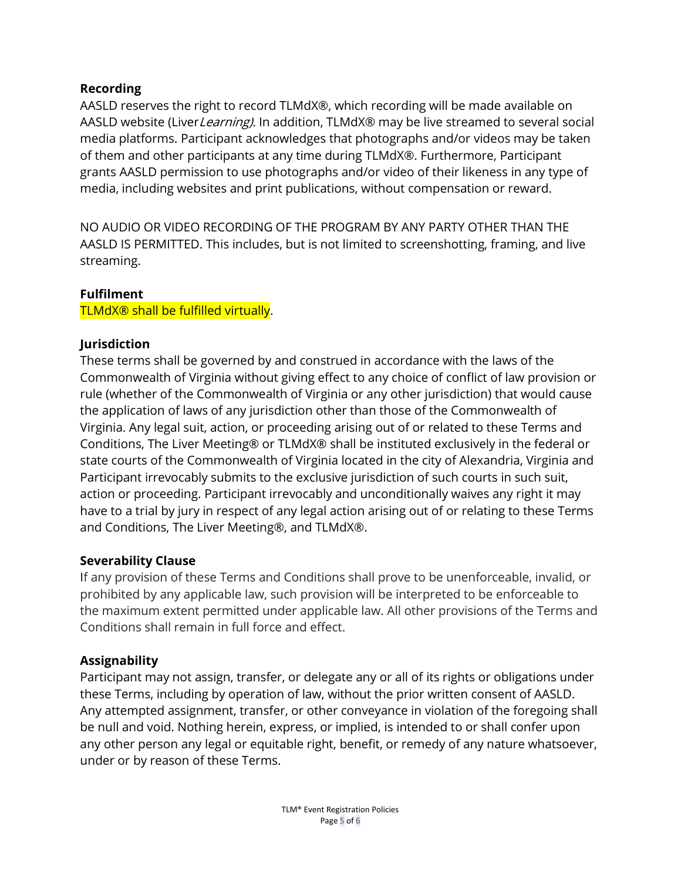#### **Recording**

AASLD reserves the right to record TLMdX®, which recording will be made available on AASLD website (Liver Learning). In addition, TLMdX® may be live streamed to several social media platforms. Participant acknowledges that photographs and/or videos may be taken of them and other participants at any time during TLMdX®. Furthermore, Participant grants AASLD permission to use photographs and/or video of their likeness in any type of media, including websites and print publications, without compensation or reward.

NO AUDIO OR VIDEO RECORDING OF THE PROGRAM BY ANY PARTY OTHER THAN THE AASLD IS PERMITTED. This includes, but is not limited to screenshotting, framing, and live streaming.

#### **Fulfilment**

TLMdX® shall be fulfilled virtually.

#### **Jurisdiction**

These terms shall be governed by and construed in accordance with the laws of the Commonwealth of Virginia without giving effect to any choice of conflict of law provision or rule (whether of the Commonwealth of Virginia or any other jurisdiction) that would cause the application of laws of any jurisdiction other than those of the Commonwealth of Virginia. Any legal suit, action, or proceeding arising out of or related to these Terms and Conditions, The Liver Meeting® or TLMdX® shall be instituted exclusively in the federal or state courts of the Commonwealth of Virginia located in the city of Alexandria, Virginia and Participant irrevocably submits to the exclusive jurisdiction of such courts in such suit, action or proceeding. Participant irrevocably and unconditionally waives any right it may have to a trial by jury in respect of any legal action arising out of or relating to these Terms and Conditions, The Liver Meeting®, and TLMdX®.

#### **Severability Clause**

If any provision of these Terms and Conditions shall prove to be unenforceable, invalid, or prohibited by any applicable law, such provision will be interpreted to be enforceable to the maximum extent permitted under applicable law. All other provisions of the Terms and Conditions shall remain in full force and effect.

#### **Assignability**

Participant may not assign, transfer, or delegate any or all of its rights or obligations under these Terms, including by operation of law, without the prior written consent of AASLD. Any attempted assignment, transfer, or other conveyance in violation of the foregoing shall be null and void. Nothing herein, express, or implied, is intended to or shall confer upon any other person any legal or equitable right, benefit, or remedy of any nature whatsoever, under or by reason of these Terms.